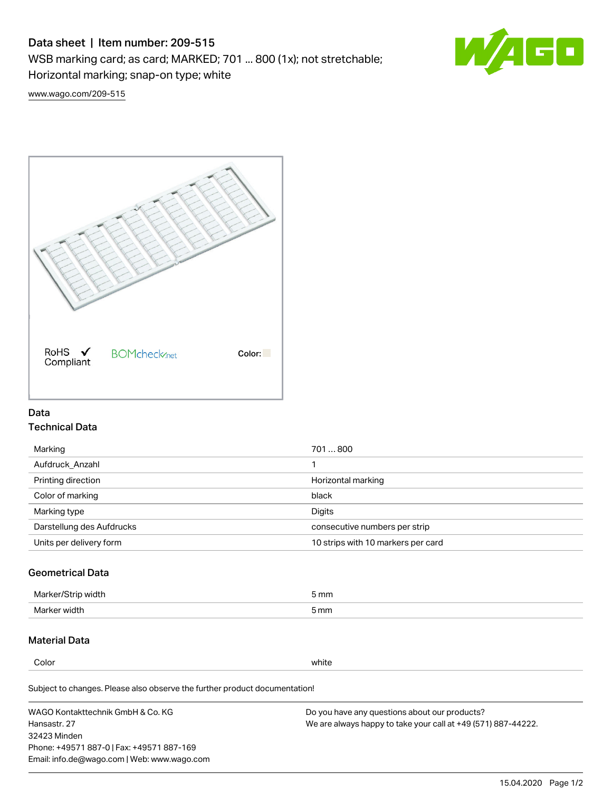# Data sheet | Item number: 209-515

WSB marking card; as card; MARKED; 701 ... 800 (1x); not stretchable;

Horizontal marking; snap-on type; white



[www.wago.com/209-515](http://www.wago.com/209-515)



### Data Technical Data

| 701800                             |
|------------------------------------|
|                                    |
| Horizontal marking                 |
| black                              |
| Digits                             |
| consecutive numbers per strip      |
| 10 strips with 10 markers per card |
|                                    |

## Geometrical Data

| Marker.<br>width | 5 mm |
|------------------|------|
| Marker width     | 5 mm |

## Material Data

Color white

Subject to changes. Please also observe the further product documentation!

WAGO Kontakttechnik GmbH & Co. KG Hansastr. 27 32423 Minden Phone: +49571 887-0 | Fax: +49571 887-169 Email: info.de@wago.com | Web: www.wago.com Do you have any questions about our products? We are always happy to take your call at +49 (571) 887-44222.